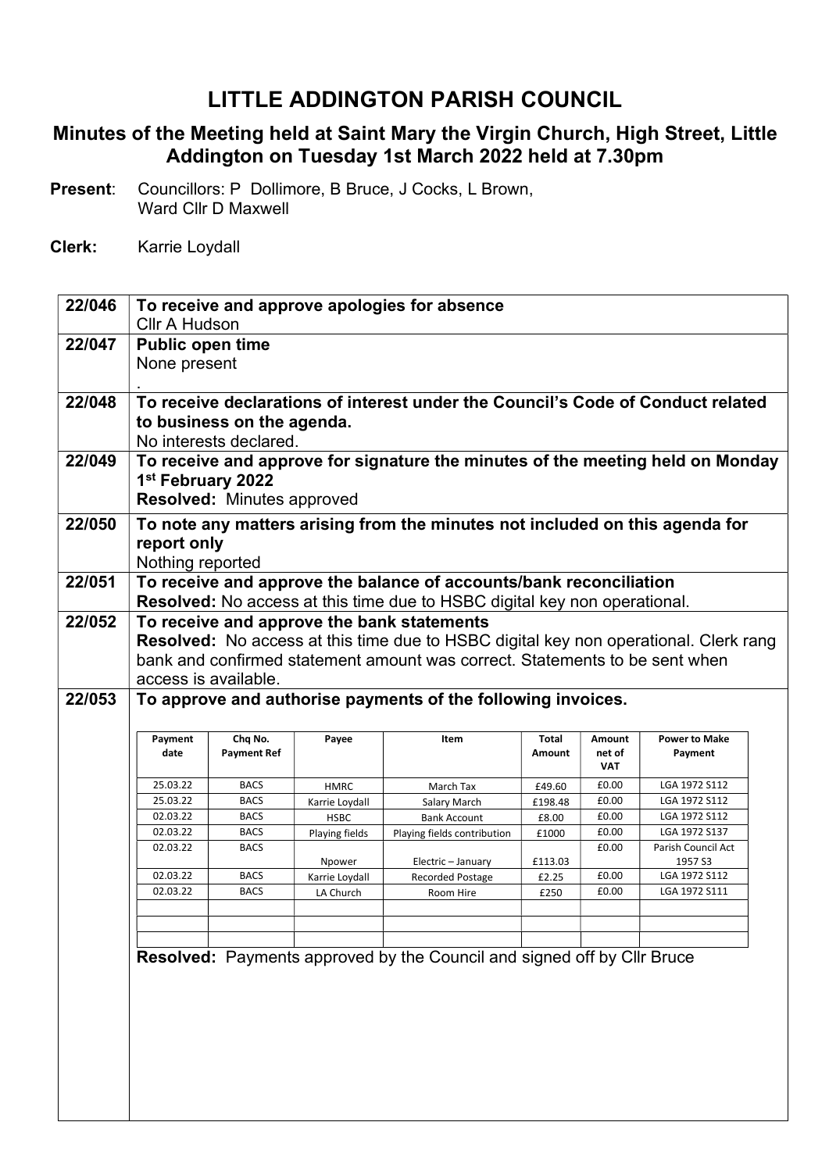## LITTLE ADDINGTON PARISH COUNCIL

## Minutes of the Meeting held at Saint Mary the Virgin Church, High Street, Little Addington on Tuesday 1st March 2022 held at 7.30pm

- Present: Councillors: P Dollimore, B Bruce, J Cocks, L Brown, Ward Cllr D Maxwell
- Clerk: Karrie Loydall

| 22/046 |                                                                              |                                   |                | To receive and approve apologies for absence                                                |         |                |                                |  |  |
|--------|------------------------------------------------------------------------------|-----------------------------------|----------------|---------------------------------------------------------------------------------------------|---------|----------------|--------------------------------|--|--|
|        | <b>Cllr A Hudson</b>                                                         |                                   |                |                                                                                             |         |                |                                |  |  |
| 22/047 | <b>Public open time</b>                                                      |                                   |                |                                                                                             |         |                |                                |  |  |
|        | None present                                                                 |                                   |                |                                                                                             |         |                |                                |  |  |
|        |                                                                              |                                   |                |                                                                                             |         |                |                                |  |  |
| 22/048 |                                                                              |                                   |                | To receive declarations of interest under the Council's Code of Conduct related             |         |                |                                |  |  |
|        |                                                                              | to business on the agenda.        |                |                                                                                             |         |                |                                |  |  |
|        |                                                                              | No interests declared.            |                |                                                                                             |         |                |                                |  |  |
| 22/049 |                                                                              |                                   |                | To receive and approve for signature the minutes of the meeting held on Monday              |         |                |                                |  |  |
|        | 1 <sup>st</sup> February 2022                                                |                                   |                |                                                                                             |         |                |                                |  |  |
|        |                                                                              | <b>Resolved: Minutes approved</b> |                |                                                                                             |         |                |                                |  |  |
| 22/050 | To note any matters arising from the minutes not included on this agenda for |                                   |                |                                                                                             |         |                |                                |  |  |
|        | report only                                                                  |                                   |                |                                                                                             |         |                |                                |  |  |
|        | Nothing reported                                                             |                                   |                |                                                                                             |         |                |                                |  |  |
| 22/051 |                                                                              |                                   |                | To receive and approve the balance of accounts/bank reconciliation                          |         |                |                                |  |  |
|        |                                                                              |                                   |                | <b>Resolved:</b> No access at this time due to HSBC digital key non operational.            |         |                |                                |  |  |
| 22/052 |                                                                              |                                   |                | To receive and approve the bank statements                                                  |         |                |                                |  |  |
|        |                                                                              |                                   |                | <b>Resolved:</b> No access at this time due to HSBC digital key non operational. Clerk rang |         |                |                                |  |  |
|        |                                                                              |                                   |                | bank and confirmed statement amount was correct. Statements to be sent when                 |         |                |                                |  |  |
|        |                                                                              | access is available.              |                |                                                                                             |         |                |                                |  |  |
| 22/053 |                                                                              |                                   |                | To approve and authorise payments of the following invoices.                                |         |                |                                |  |  |
|        |                                                                              |                                   |                |                                                                                             |         |                |                                |  |  |
|        | Payment                                                                      | Chq No.                           | Payee          | Item                                                                                        | Total   | Amount         | <b>Power to Make</b>           |  |  |
|        | date                                                                         | <b>Payment Ref</b>                |                |                                                                                             | Amount  | net of         | Payment                        |  |  |
|        |                                                                              |                                   |                |                                                                                             |         | <b>VAT</b>     |                                |  |  |
|        | 25.03.22                                                                     | <b>BACS</b>                       | <b>HMRC</b>    | March Tax                                                                                   | £49.60  | £0.00          | LGA 1972 S112                  |  |  |
|        | 25.03.22                                                                     |                                   |                |                                                                                             |         |                |                                |  |  |
|        |                                                                              | <b>BACS</b>                       | Karrie Loydall | Salary March                                                                                | £198.48 | £0.00          | LGA 1972 S112                  |  |  |
|        | 02.03.22<br>02.03.22                                                         | <b>BACS</b><br><b>BACS</b>        | <b>HSBC</b>    | <b>Bank Account</b>                                                                         | £8.00   | £0.00<br>£0.00 | LGA 1972 S112<br>LGA 1972 S137 |  |  |
|        | 02.03.22                                                                     | <b>BACS</b>                       | Playing fields | Playing fields contribution                                                                 | £1000   | £0.00          | Parish Council Act             |  |  |
|        |                                                                              |                                   | Npower         | Electric - January                                                                          | £113.03 |                | 1957 S3                        |  |  |
|        | 02.03.22                                                                     | <b>BACS</b>                       | Karrie Loydall | <b>Recorded Postage</b>                                                                     | £2.25   | £0.00          | LGA 1972 S112                  |  |  |
|        | 02.03.22                                                                     | <b>BACS</b>                       | LA Church      | Room Hire                                                                                   | £250    | £0.00          | LGA 1972 S111                  |  |  |
|        |                                                                              |                                   |                |                                                                                             |         |                |                                |  |  |
|        |                                                                              |                                   |                |                                                                                             |         |                |                                |  |  |
|        |                                                                              |                                   |                | Resolved: Payments approved by the Council and signed off by Cllr Bruce                     |         |                |                                |  |  |
|        |                                                                              |                                   |                |                                                                                             |         |                |                                |  |  |
|        |                                                                              |                                   |                |                                                                                             |         |                |                                |  |  |
|        |                                                                              |                                   |                |                                                                                             |         |                |                                |  |  |
|        |                                                                              |                                   |                |                                                                                             |         |                |                                |  |  |
|        |                                                                              |                                   |                |                                                                                             |         |                |                                |  |  |
|        |                                                                              |                                   |                |                                                                                             |         |                |                                |  |  |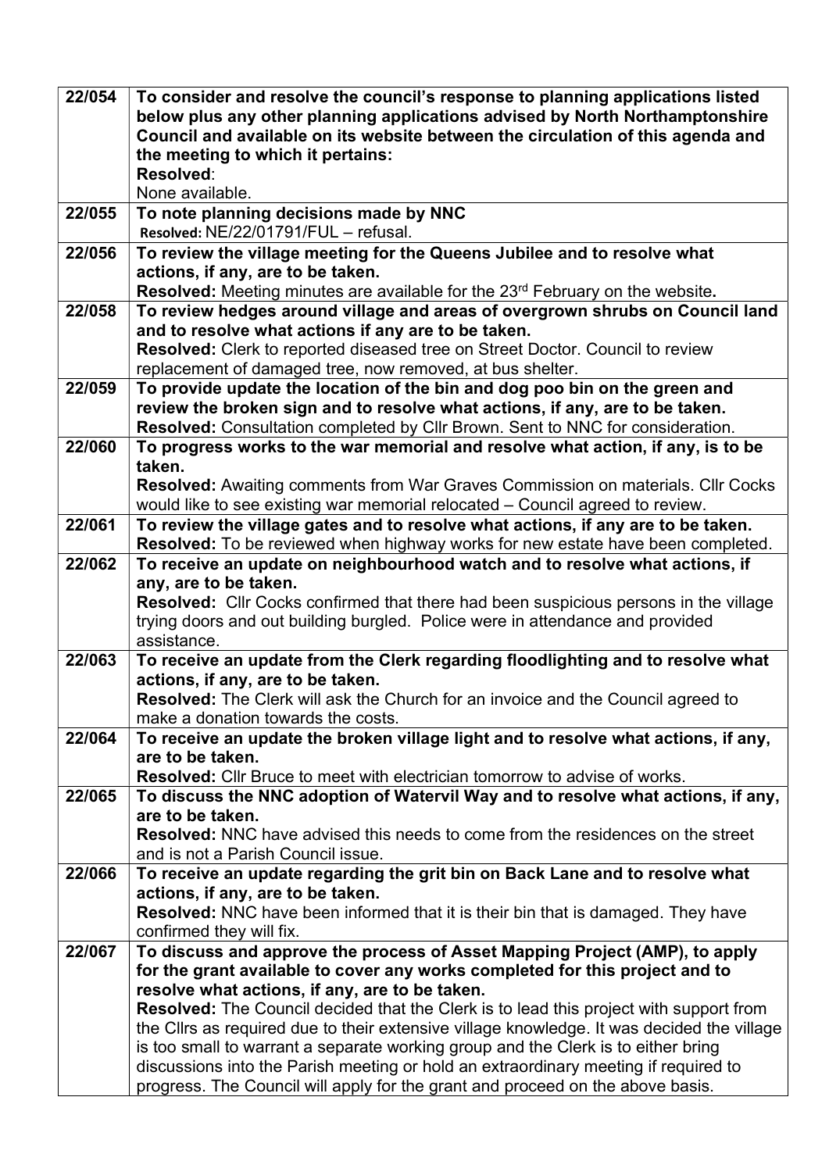| 22/054 | To consider and resolve the council's response to planning applications listed<br>below plus any other planning applications advised by North Northamptonshire<br>Council and available on its website between the circulation of this agenda and<br>the meeting to which it pertains:<br>Resolved:<br>None available. |
|--------|------------------------------------------------------------------------------------------------------------------------------------------------------------------------------------------------------------------------------------------------------------------------------------------------------------------------|
| 22/055 | To note planning decisions made by NNC<br>Resolved: NE/22/01791/FUL - refusal.                                                                                                                                                                                                                                         |
| 22/056 | To review the village meeting for the Queens Jubilee and to resolve what                                                                                                                                                                                                                                               |
|        | actions, if any, are to be taken.                                                                                                                                                                                                                                                                                      |
|        | Resolved: Meeting minutes are available for the 23 <sup>rd</sup> February on the website.                                                                                                                                                                                                                              |
| 22/058 | To review hedges around village and areas of overgrown shrubs on Council land                                                                                                                                                                                                                                          |
|        | and to resolve what actions if any are to be taken.                                                                                                                                                                                                                                                                    |
|        | Resolved: Clerk to reported diseased tree on Street Doctor. Council to review                                                                                                                                                                                                                                          |
|        | replacement of damaged tree, now removed, at bus shelter.                                                                                                                                                                                                                                                              |
| 22/059 | To provide update the location of the bin and dog poo bin on the green and                                                                                                                                                                                                                                             |
|        | review the broken sign and to resolve what actions, if any, are to be taken.                                                                                                                                                                                                                                           |
| 22/060 | Resolved: Consultation completed by Cllr Brown. Sent to NNC for consideration.<br>To progress works to the war memorial and resolve what action, if any, is to be                                                                                                                                                      |
|        | taken.                                                                                                                                                                                                                                                                                                                 |
|        | <b>Resolved:</b> Awaiting comments from War Graves Commission on materials. Cllr Cocks                                                                                                                                                                                                                                 |
|        | would like to see existing war memorial relocated - Council agreed to review.                                                                                                                                                                                                                                          |
| 22/061 | To review the village gates and to resolve what actions, if any are to be taken.                                                                                                                                                                                                                                       |
|        | Resolved: To be reviewed when highway works for new estate have been completed.                                                                                                                                                                                                                                        |
| 22/062 | To receive an update on neighbourhood watch and to resolve what actions, if                                                                                                                                                                                                                                            |
|        | any, are to be taken.                                                                                                                                                                                                                                                                                                  |
|        | Resolved: Cllr Cocks confirmed that there had been suspicious persons in the village                                                                                                                                                                                                                                   |
|        | trying doors and out building burgled. Police were in attendance and provided                                                                                                                                                                                                                                          |
| 22/063 | assistance.<br>To receive an update from the Clerk regarding floodlighting and to resolve what                                                                                                                                                                                                                         |
|        | actions, if any, are to be taken.                                                                                                                                                                                                                                                                                      |
|        | Resolved: The Clerk will ask the Church for an invoice and the Council agreed to                                                                                                                                                                                                                                       |
|        | make a donation towards the costs.                                                                                                                                                                                                                                                                                     |
| 22/064 | To receive an update the broken village light and to resolve what actions, if any,                                                                                                                                                                                                                                     |
|        | are to be taken.                                                                                                                                                                                                                                                                                                       |
|        | <b>Resolved:</b> Cllr Bruce to meet with electrician tomorrow to advise of works.                                                                                                                                                                                                                                      |
| 22/065 | To discuss the NNC adoption of Watervil Way and to resolve what actions, if any,                                                                                                                                                                                                                                       |
|        | are to be taken.                                                                                                                                                                                                                                                                                                       |
|        | <b>Resolved:</b> NNC have advised this needs to come from the residences on the street                                                                                                                                                                                                                                 |
| 22/066 | and is not a Parish Council issue.<br>To receive an update regarding the grit bin on Back Lane and to resolve what                                                                                                                                                                                                     |
|        | actions, if any, are to be taken.                                                                                                                                                                                                                                                                                      |
|        | <b>Resolved:</b> NNC have been informed that it is their bin that is damaged. They have                                                                                                                                                                                                                                |
|        | confirmed they will fix.                                                                                                                                                                                                                                                                                               |
| 22/067 | To discuss and approve the process of Asset Mapping Project (AMP), to apply                                                                                                                                                                                                                                            |
|        | for the grant available to cover any works completed for this project and to                                                                                                                                                                                                                                           |
|        | resolve what actions, if any, are to be taken.                                                                                                                                                                                                                                                                         |
|        | <b>Resolved:</b> The Council decided that the Clerk is to lead this project with support from                                                                                                                                                                                                                          |
|        | the Clirs as required due to their extensive village knowledge. It was decided the village                                                                                                                                                                                                                             |
|        | is too small to warrant a separate working group and the Clerk is to either bring                                                                                                                                                                                                                                      |
|        | discussions into the Parish meeting or hold an extraordinary meeting if required to                                                                                                                                                                                                                                    |
|        | progress. The Council will apply for the grant and proceed on the above basis.                                                                                                                                                                                                                                         |